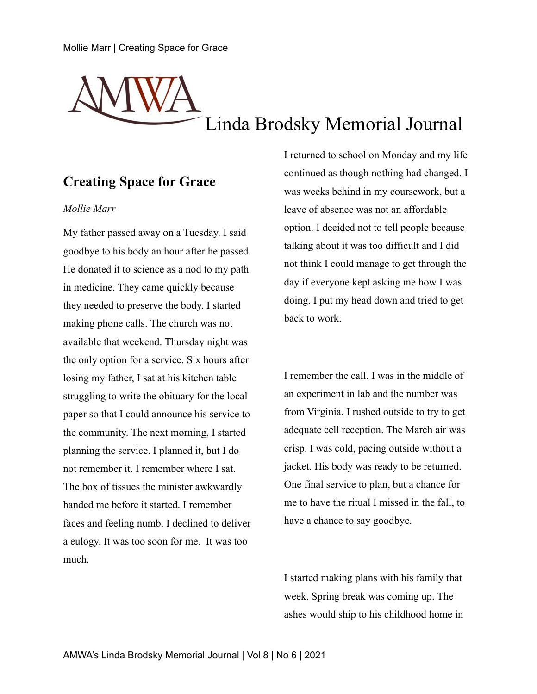# Linda Brodsky Memorial Journal

## **Creating Space for Grace**

#### *Mollie Marr*

My father passed away on a Tuesday. I said goodbye to his body an hour after he passed. He donated it to science as a nod to my path in medicine. They came quickly because they needed to preserve the body. I started making phone calls. The church was not available that weekend. Thursday night was the only option for a service. Six hours after losing my father, I sat at his kitchen table struggling to write the obituary for the local paper so that I could announce his service to the community. The next morning, I started planning the service. I planned it, but I do not remember it. I remember where I sat. The box of tissues the minister awkwardly handed me before it started. I remember faces and feeling numb. I declined to deliver a eulogy. It was too soon for me. It was too much.

I returned to school on Monday and my life continued as though nothing had changed. I was weeks behind in my coursework, but a leave of absence was not an affordable option. I decided not to tell people because talking about it was too difficult and I did not think I could manage to get through the day if everyone kept asking me how I was doing. I put my head down and tried to get back to work.

I remember the call. I was in the middle of an experiment in lab and the number was from Virginia. I rushed outside to try to get adequate cell reception. The March air was crisp. I was cold, pacing outside without a jacket. His body was ready to be returned. One final service to plan, but a chance for me to have the ritual I missed in the fall, to have a chance to say goodbye.

I started making plans with his family that week. Spring break was coming up. The ashes would ship to his childhood home in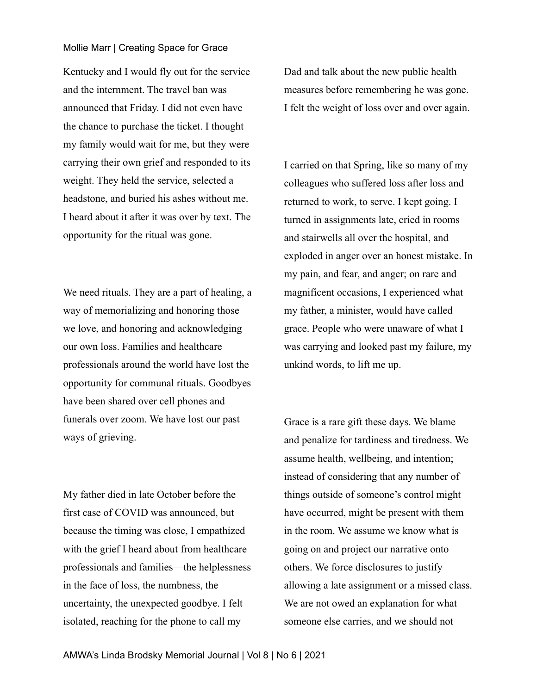#### Mollie Marr | Creating Space for Grace

Kentucky and I would fly out for the service and the internment. The travel ban was announced that Friday. I did not even have the chance to purchase the ticket. I thought my family would wait for me, but they were carrying their own grief and responded to its weight. They held the service, selected a headstone, and buried his ashes without me. I heard about it after it was over by text. The opportunity for the ritual was gone.

We need rituals. They are a part of healing, a way of memorializing and honoring those we love, and honoring and acknowledging our own loss. Families and healthcare professionals around the world have lost the opportunity for communal rituals. Goodbyes have been shared over cell phones and funerals over zoom. We have lost our past ways of grieving.

My father died in late October before the first case of COVID was announced, but because the timing was close, I empathized with the grief I heard about from healthcare professionals and families—the helplessness in the face of loss, the numbness, the uncertainty, the unexpected goodbye. I felt isolated, reaching for the phone to call my

Dad and talk about the new public health measures before remembering he was gone. I felt the weight of loss over and over again.

I carried on that Spring, like so many of my colleagues who suffered loss after loss and returned to work, to serve. I kept going. I turned in assignments late, cried in rooms and stairwells all over the hospital, and exploded in anger over an honest mistake. In my pain, and fear, and anger; on rare and magnificent occasions, I experienced what my father, a minister, would have called grace. People who were unaware of what I was carrying and looked past my failure, my unkind words, to lift me up.

Grace is a rare gift these days. We blame and penalize for tardiness and tiredness. We assume health, wellbeing, and intention; instead of considering that any number of things outside of someone's control might have occurred, might be present with them in the room. We assume we know what is going on and project our narrative onto others. We force disclosures to justify allowing a late assignment or a missed class. We are not owed an explanation for what someone else carries, and we should not